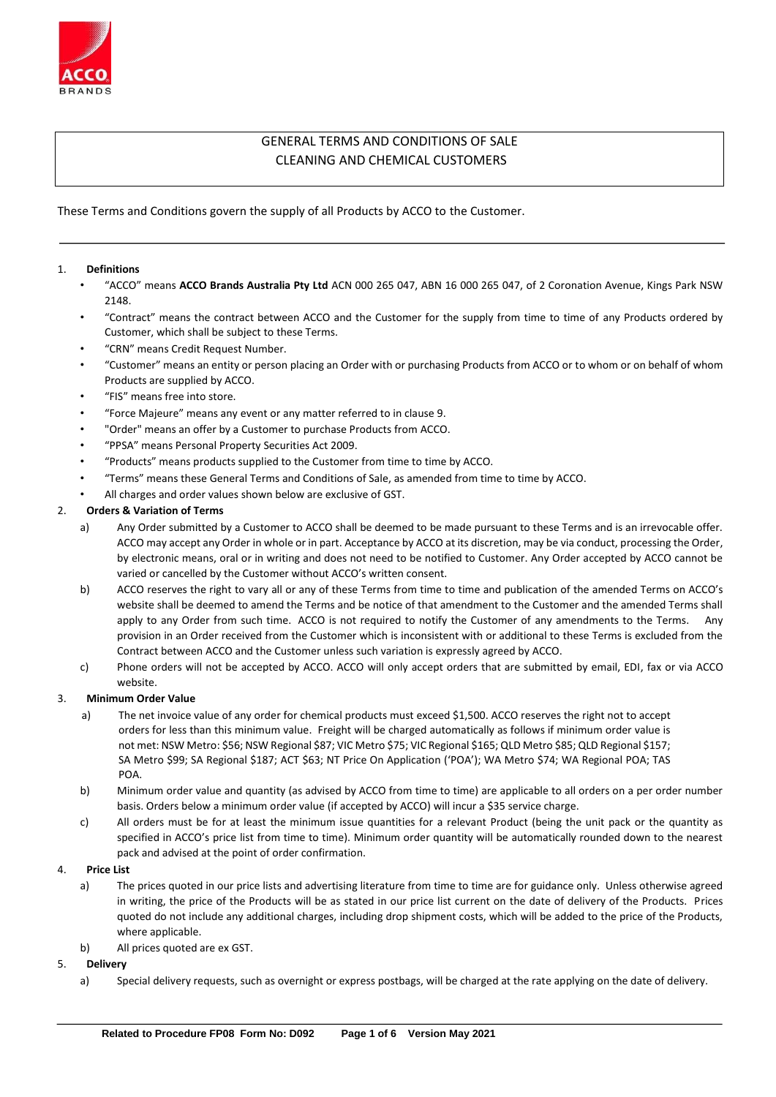

# GENERAL TERMS AND CONDITIONS OF SALE CLEANING AND CHEMICAL CUSTOMERS

These Terms and Conditions govern the supply of all Products by ACCO to the Customer.

#### 1. **Definitions**

- "ACCO" means **ACCO Brands Australia Pty Ltd** ACN 000 265 047, ABN 16 000 265 047, of 2 Coronation Avenue, Kings Park NSW 2148.
- "Contract" means the contract between ACCO and the Customer for the supply from time to time of any Products ordered by Customer, which shall be subject to these Terms.
- "CRN" means Credit Request Number.
- "Customer" means an entity or person placing an Order with or purchasing Products from ACCO or to whom or on behalf of whom Products are supplied by ACCO.
- "FIS" means free into store.
- "Force Majeure" means any event or any matter referred to in clause 9.
- "Order" means an offer by a Customer to purchase Products from ACCO.
- "PPSA" means Personal Property Securities Act 2009.
- "Products" means products supplied to the Customer from time to time by ACCO.
- "Terms" means these General Terms and Conditions of Sale, as amended from time to time by ACCO.
- All charges and order values shown below are exclusive of GST.

## 2. **Orders & Variation of Terms**

- a) Any Order submitted by a Customer to ACCO shall be deemed to be made pursuant to these Terms and is an irrevocable offer. ACCO may accept any Order in whole or in part. Acceptance by ACCO at its discretion, may be via conduct, processing the Order, by electronic means, oral or in writing and does not need to be notified to Customer. Any Order accepted by ACCO cannot be varied or cancelled by the Customer without ACCO's written consent.
- b) ACCO reserves the right to vary all or any of these Terms from time to time and publication of the amended Terms on ACCO's website shall be deemed to amend the Terms and be notice of that amendment to the Customer and the amended Terms shall apply to any Order from such time. ACCO is not required to notify the Customer of any amendments to the Terms. Any provision in an Order received from the Customer which is inconsistent with or additional to these Terms is excluded from the Contract between ACCO and the Customer unless such variation is expressly agreed by ACCO.
- c) Phone orders will not be accepted by ACCO. ACCO will only accept orders that are submitted by email, EDI, fax or via ACCO website.

#### 3. **Minimum Order Value**

- a) The net invoice value of any order for chemical products must exceed \$1,500. ACCO reserves the right not to accept orders for less than this minimum value. Freight will be charged automatically as follows if minimum order value is not met: NSW Metro: \$56; NSW Regional \$87; VIC Metro \$75; VIC Regional \$165; QLD Metro \$85; QLD Regional \$157; SA Metro \$99; SA Regional \$187; ACT \$63; NT Price On Application ('POA'); WA Metro \$74; WA Regional POA; TAS **POA**
- b) Minimum order value and quantity (as advised by ACCO from time to time) are applicable to all orders on a per order number basis. Orders below a minimum order value (if accepted by ACCO) will incur a \$35 service charge.
- c) All orders must be for at least the minimum issue quantities for a relevant Product (being the unit pack or the quantity as specified in ACCO's price list from time to time). Minimum order quantity will be automatically rounded down to the nearest pack and advised at the point of order confirmation.

#### 4. **Price List**

- a) The prices quoted in our price lists and advertising literature from time to time are for guidance only. Unless otherwise agreed in writing, the price of the Products will be as stated in our price list current on the date of delivery of the Products. Prices quoted do not include any additional charges, including drop shipment costs, which will be added to the price of the Products, where applicable.
- b) All prices quoted are ex GST.
- 5. **Delivery** 
	- a) Special delivery requests, such as overnight or express postbags, will be charged at the rate applying on the date of delivery.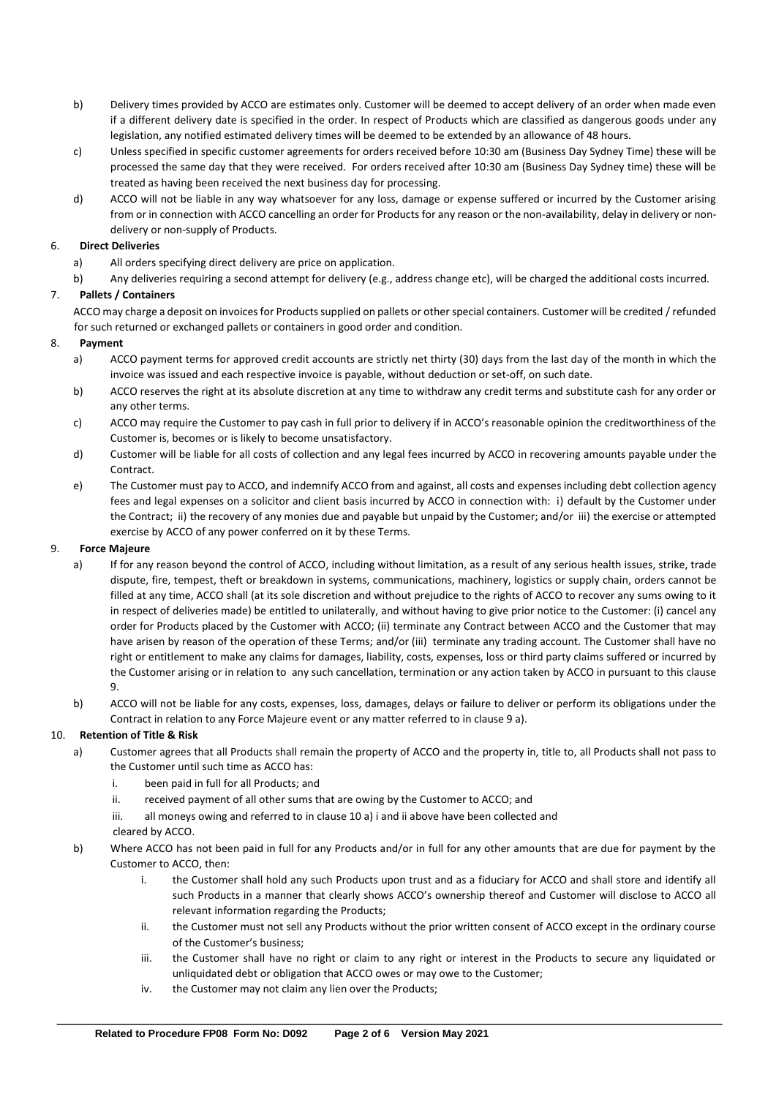- b) Delivery times provided by ACCO are estimates only. Customer will be deemed to accept delivery of an order when made even if a different delivery date is specified in the order. In respect of Products which are classified as dangerous goods under any legislation, any notified estimated delivery times will be deemed to be extended by an allowance of 48 hours.
- c) Unless specified in specific customer agreements for orders received before 10:30 am (Business Day Sydney Time) these will be processed the same day that they were received. For orders received after 10:30 am (Business Day Sydney time) these will be treated as having been received the next business day for processing.
- d) ACCO will not be liable in any way whatsoever for any loss, damage or expense suffered or incurred by the Customer arising from or in connection with ACCO cancelling an order for Products for any reason or the non-availability, delay in delivery or nondelivery or non-supply of Products.

## 6. **Direct Deliveries**

- a) All orders specifying direct delivery are price on application.
- b) Any deliveries requiring a second attempt for delivery (e.g., address change etc), will be charged the additional costs incurred.

## 7. **Pallets / Containers**

ACCO may charge a deposit on invoices for Products supplied on pallets or other special containers. Customer will be credited / refunded for such returned or exchanged pallets or containers in good order and condition.

## 8. **Payment**

- a) ACCO payment terms for approved credit accounts are strictly net thirty (30) days from the last day of the month in which the invoice was issued and each respective invoice is payable, without deduction or set-off, on such date.
- b) ACCO reserves the right at its absolute discretion at any time to withdraw any credit terms and substitute cash for any order or any other terms.
- c) ACCO may require the Customer to pay cash in full prior to delivery if in ACCO's reasonable opinion the creditworthiness of the Customer is, becomes or is likely to become unsatisfactory.
- d) Customer will be liable for all costs of collection and any legal fees incurred by ACCO in recovering amounts payable under the Contract.
- e) The Customer must pay to ACCO, and indemnify ACCO from and against, all costs and expenses including debt collection agency fees and legal expenses on a solicitor and client basis incurred by ACCO in connection with: i) default by the Customer under the Contract; ii) the recovery of any monies due and payable but unpaid by the Customer; and/or iii) the exercise or attempted exercise by ACCO of any power conferred on it by these Terms.

#### 9. **Force Majeure**

- a) If for any reason beyond the control of ACCO, including without limitation, as a result of any serious health issues, strike, trade dispute, fire, tempest, theft or breakdown in systems, communications, machinery, logistics or supply chain, orders cannot be filled at any time, ACCO shall (at its sole discretion and without prejudice to the rights of ACCO to recover any sums owing to it in respect of deliveries made) be entitled to unilaterally, and without having to give prior notice to the Customer: (i) cancel any order for Products placed by the Customer with ACCO; (ii) terminate any Contract between ACCO and the Customer that may have arisen by reason of the operation of these Terms; and/or (iii) terminate any trading account. The Customer shall have no right or entitlement to make any claims for damages, liability, costs, expenses, loss or third party claims suffered or incurred by the Customer arising or in relation to any such cancellation, termination or any action taken by ACCO in pursuant to this clause 9.
- b) ACCO will not be liable for any costs, expenses, loss, damages, delays or failure to deliver or perform its obligations under the Contract in relation to any Force Majeure event or any matter referred to in clause 9 a).

# 10. **Retention of Title & Risk**

- a) Customer agrees that all Products shall remain the property of ACCO and the property in, title to, all Products shall not pass to the Customer until such time as ACCO has:
	- i. been paid in full for all Products; and
	- ii. received payment of all other sums that are owing by the Customer to ACCO; and
	- iii. all moneys owing and referred to in clause 10 a) i and ii above have been collected and

# cleared by ACCO.

- b) Where ACCO has not been paid in full for any Products and/or in full for any other amounts that are due for payment by the Customer to ACCO, then:
	- i. the Customer shall hold any such Products upon trust and as a fiduciary for ACCO and shall store and identify all such Products in a manner that clearly shows ACCO's ownership thereof and Customer will disclose to ACCO all relevant information regarding the Products;
	- ii. the Customer must not sell any Products without the prior written consent of ACCO except in the ordinary course of the Customer's business;
	- iii. the Customer shall have no right or claim to any right or interest in the Products to secure any liquidated or unliquidated debt or obligation that ACCO owes or may owe to the Customer:
	- iv. the Customer may not claim any lien over the Products;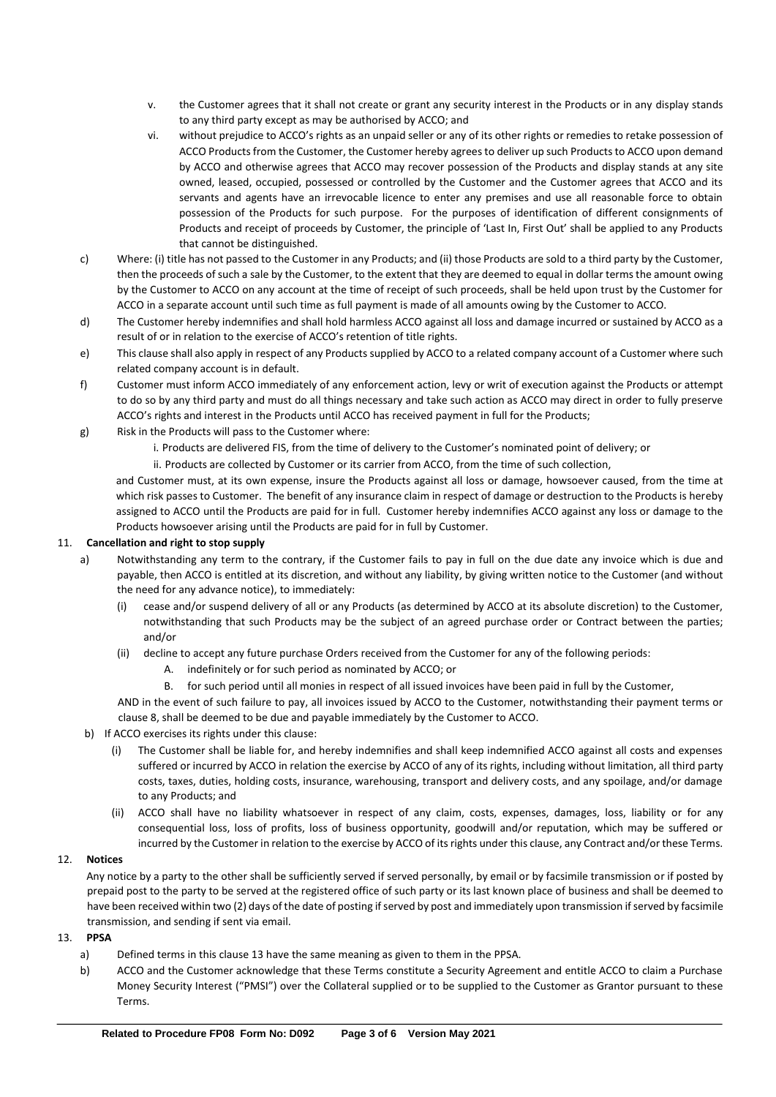- v. the Customer agrees that it shall not create or grant any security interest in the Products or in any display stands to any third party except as may be authorised by ACCO; and
- vi. without prejudice to ACCO's rights as an unpaid seller or any of its other rights or remedies to retake possession of ACCO Products from the Customer, the Customer hereby agrees to deliver up such Products to ACCO upon demand by ACCO and otherwise agrees that ACCO may recover possession of the Products and display stands at any site owned, leased, occupied, possessed or controlled by the Customer and the Customer agrees that ACCO and its servants and agents have an irrevocable licence to enter any premises and use all reasonable force to obtain possession of the Products for such purpose. For the purposes of identification of different consignments of Products and receipt of proceeds by Customer, the principle of 'Last In, First Out' shall be applied to any Products that cannot be distinguished.
- c) Where: (i) title has not passed to the Customer in any Products; and (ii) those Products are sold to a third party by the Customer, then the proceeds of such a sale by the Customer, to the extent that they are deemed to equal in dollar terms the amount owing by the Customer to ACCO on any account at the time of receipt of such proceeds, shall be held upon trust by the Customer for ACCO in a separate account until such time as full payment is made of all amounts owing by the Customer to ACCO.
- d) The Customer hereby indemnifies and shall hold harmless ACCO against all loss and damage incurred or sustained by ACCO as a result of or in relation to the exercise of ACCO's retention of title rights.
- e) This clause shall also apply in respect of any Products supplied by ACCO to a related company account of a Customer where such related company account is in default.
- f) Customer must inform ACCO immediately of any enforcement action, levy or writ of execution against the Products or attempt to do so by any third party and must do all things necessary and take such action as ACCO may direct in order to fully preserve ACCO's rights and interest in the Products until ACCO has received payment in full for the Products;
- g) Risk in the Products will pass to the Customer where:
	- i. Products are delivered FIS, from the time of delivery to the Customer's nominated point of delivery; or
	- ii. Products are collected by Customer or its carrier from ACCO, from the time of such collection,

and Customer must, at its own expense, insure the Products against all loss or damage, howsoever caused, from the time at which risk passes to Customer. The benefit of any insurance claim in respect of damage or destruction to the Products is hereby assigned to ACCO until the Products are paid for in full. Customer hereby indemnifies ACCO against any loss or damage to the Products howsoever arising until the Products are paid for in full by Customer.

#### 11. **Cancellation and right to stop supply**

- a) Notwithstanding any term to the contrary, if the Customer fails to pay in full on the due date any invoice which is due and payable, then ACCO is entitled at its discretion, and without any liability, by giving written notice to the Customer (and without the need for any advance notice), to immediately:
	- (i) cease and/or suspend delivery of all or any Products (as determined by ACCO at its absolute discretion) to the Customer, notwithstanding that such Products may be the subject of an agreed purchase order or Contract between the parties; and/or
	- (ii) decline to accept any future purchase Orders received from the Customer for any of the following periods:
		- A. indefinitely or for such period as nominated by ACCO; or
		- for such period until all monies in respect of all issued invoices have been paid in full by the Customer,

AND in the event of such failure to pay, all invoices issued by ACCO to the Customer, notwithstanding their payment terms or clause 8, shall be deemed to be due and payable immediately by the Customer to ACCO.

- b) If ACCO exercises its rights under this clause:
	- (i) The Customer shall be liable for, and hereby indemnifies and shall keep indemnified ACCO against all costs and expenses suffered or incurred by ACCO in relation the exercise by ACCO of any of its rights, including without limitation, all third party costs, taxes, duties, holding costs, insurance, warehousing, transport and delivery costs, and any spoilage, and/or damage to any Products; and
	- (ii) ACCO shall have no liability whatsoever in respect of any claim, costs, expenses, damages, loss, liability or for any consequential loss, loss of profits, loss of business opportunity, goodwill and/or reputation, which may be suffered or incurred by the Customer in relation to the exercise by ACCO of its rights under this clause, any Contract and/or these Terms.

#### 12. **Notices**

Any notice by a party to the other shall be sufficiently served if served personally, by email or by facsimile transmission or if posted by prepaid post to the party to be served at the registered office of such party or its last known place of business and shall be deemed to have been received within two (2) days of the date of posting if served by post and immediately upon transmission if served by facsimile transmission, and sending if sent via email.

- 13. **PPSA** 
	- a) Defined terms in this clause 13 have the same meaning as given to them in the PPSA.
	- b) ACCO and the Customer acknowledge that these Terms constitute a Security Agreement and entitle ACCO to claim a Purchase Money Security Interest ("PMSI") over the Collateral supplied or to be supplied to the Customer as Grantor pursuant to these Terms.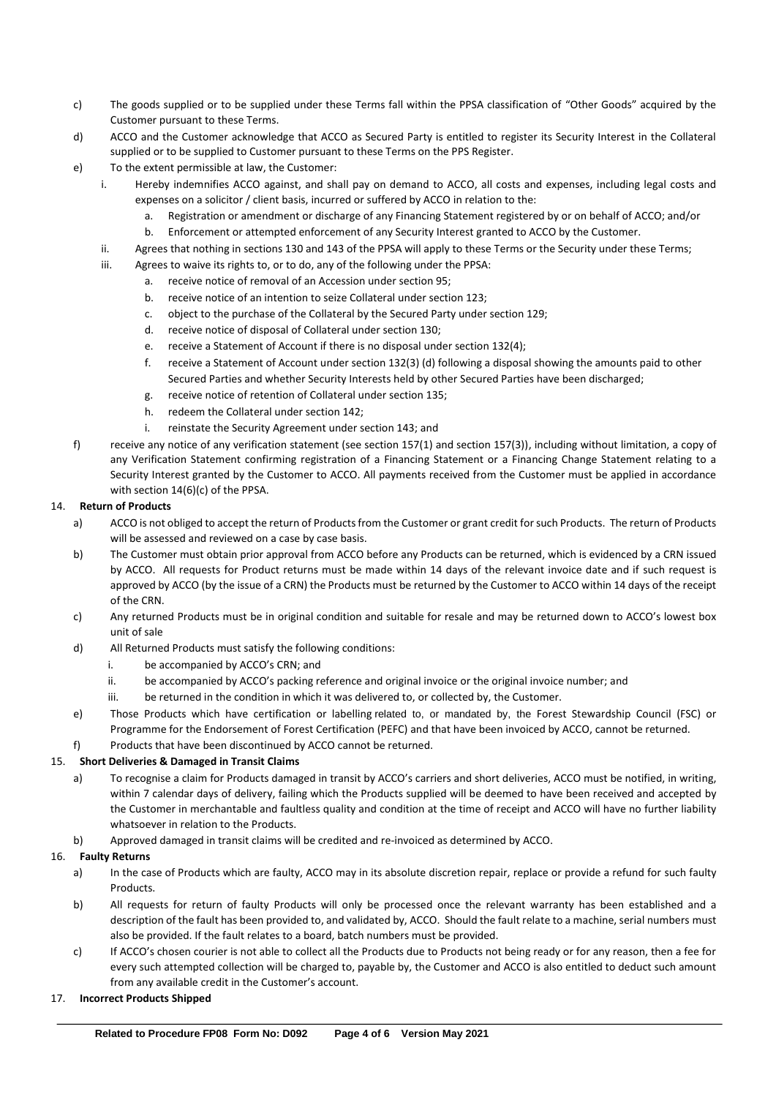- c) The goods supplied or to be supplied under these Terms fall within the PPSA classification of "Other Goods" acquired by the Customer pursuant to these Terms.
- d) ACCO and the Customer acknowledge that ACCO as Secured Party is entitled to register its Security Interest in the Collateral supplied or to be supplied to Customer pursuant to these Terms on the PPS Register.
- e) To the extent permissible at law, the Customer:
	- i. Hereby indemnifies ACCO against, and shall pay on demand to ACCO, all costs and expenses, including legal costs and expenses on a solicitor / client basis, incurred or suffered by ACCO in relation to the:
		- a. Registration or amendment or discharge of any Financing Statement registered by or on behalf of ACCO; and/or
		- b. Enforcement or attempted enforcement of any Security Interest granted to ACCO by the Customer.
	- ii. Agrees that nothing in sections 130 and 143 of the PPSA will apply to these Terms or the Security under these Terms;
	- iii. Agrees to waive its rights to, or to do, any of the following under the PPSA:
		- a. receive notice of removal of an Accession under section 95;
		- b. receive notice of an intention to seize Collateral under section 123;
		- c. object to the purchase of the Collateral by the Secured Party under section 129;
		- d. receive notice of disposal of Collateral under section 130;
		- e. receive a Statement of Account if there is no disposal under section 132(4);
		- f. receive a Statement of Account under section 132(3) (d) following a disposal showing the amounts paid to other Secured Parties and whether Security Interests held by other Secured Parties have been discharged;
		- g. receive notice of retention of Collateral under section 135;
		- h. redeem the Collateral under section 142;
		- i. reinstate the Security Agreement under section 143; and
- f) receive any notice of any verification statement (see section 157(1) and section 157(3)), including without limitation, a copy of any Verification Statement confirming registration of a Financing Statement or a Financing Change Statement relating to a Security Interest granted by the Customer to ACCO. All payments received from the Customer must be applied in accordance with section 14(6)(c) of the PPSA.

## 14. **Return of Products**

- a) ACCO is not obliged to accept the return of Products from the Customer or grant credit for such Products. The return of Products will be assessed and reviewed on a case by case basis.
- b) The Customer must obtain prior approval from ACCO before any Products can be returned, which is evidenced by a CRN issued by ACCO. All requests for Product returns must be made within 14 days of the relevant invoice date and if such request is approved by ACCO (by the issue of a CRN) the Products must be returned by the Customer to ACCO within 14 days of the receipt of the CRN.
- c) Any returned Products must be in original condition and suitable for resale and may be returned down to ACCO's lowest box unit of sale
- d) All Returned Products must satisfy the following conditions:
	- i. be accompanied by ACCO's CRN; and
	- ii. be accompanied by ACCO's packing reference and original invoice or the original invoice number; and
	- iii. be returned in the condition in which it was delivered to, or collected by, the Customer.
- e) Those Products which have certification or labelling related to, or mandated by, the Forest Stewardship Council (FSC) or Programme for the Endorsement of Forest Certification (PEFC) and that have been invoiced by ACCO, cannot be returned.
- f) Products that have been discontinued by ACCO cannot be returned.

#### 15. **Short Deliveries & Damaged in Transit Claims**

- a) To recognise a claim for Products damaged in transit by ACCO's carriers and short deliveries, ACCO must be notified, in writing, within 7 calendar days of delivery, failing which the Products supplied will be deemed to have been received and accepted by the Customer in merchantable and faultless quality and condition at the time of receipt and ACCO will have no further liability whatsoever in relation to the Products.
- b) Approved damaged in transit claims will be credited and re-invoiced as determined by ACCO.

# 16. **Faulty Returns**

- a) In the case of Products which are faulty, ACCO may in its absolute discretion repair, replace or provide a refund for such faulty Products.
- b) All requests for return of faulty Products will only be processed once the relevant warranty has been established and a description of the fault has been provided to, and validated by, ACCO. Should the fault relate to a machine, serial numbers must also be provided. If the fault relates to a board, batch numbers must be provided.
- c) If ACCO's chosen courier is not able to collect all the Products due to Products not being ready or for any reason, then a fee for every such attempted collection will be charged to, payable by, the Customer and ACCO is also entitled to deduct such amount from any available credit in the Customer's account.
- 17. **Incorrect Products Shipped**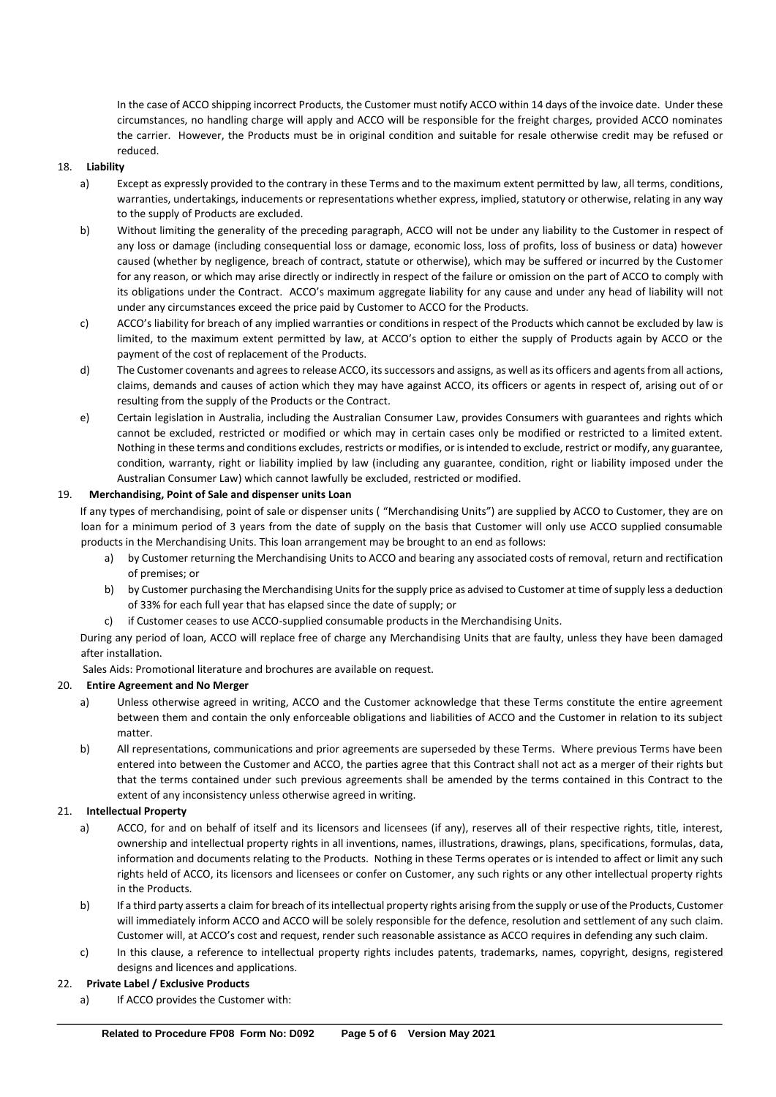In the case of ACCO shipping incorrect Products, the Customer must notify ACCO within 14 days of the invoice date. Under these circumstances, no handling charge will apply and ACCO will be responsible for the freight charges, provided ACCO nominates the carrier. However, the Products must be in original condition and suitable for resale otherwise credit may be refused or reduced.

#### 18. **Liability**

- a) Except as expressly provided to the contrary in these Terms and to the maximum extent permitted by law, all terms, conditions, warranties, undertakings, inducements or representations whether express, implied, statutory or otherwise, relating in any way to the supply of Products are excluded.
- b) Without limiting the generality of the preceding paragraph, ACCO will not be under any liability to the Customer in respect of any loss or damage (including consequential loss or damage, economic loss, loss of profits, loss of business or data) however caused (whether by negligence, breach of contract, statute or otherwise), which may be suffered or incurred by the Customer for any reason, or which may arise directly or indirectly in respect of the failure or omission on the part of ACCO to comply with its obligations under the Contract. ACCO's maximum aggregate liability for any cause and under any head of liability will not under any circumstances exceed the price paid by Customer to ACCO for the Products.
- c) ACCO's liability for breach of any implied warranties or conditions in respect of the Products which cannot be excluded by law is limited, to the maximum extent permitted by law, at ACCO's option to either the supply of Products again by ACCO or the payment of the cost of replacement of the Products.
- d) The Customer covenants and agrees to release ACCO, its successors and assigns, as well as its officers and agents from all actions, claims, demands and causes of action which they may have against ACCO, its officers or agents in respect of, arising out of or resulting from the supply of the Products or the Contract.
- e) Certain legislation in Australia, including the Australian Consumer Law, provides Consumers with guarantees and rights which cannot be excluded, restricted or modified or which may in certain cases only be modified or restricted to a limited extent. Nothing in these terms and conditions excludes, restricts or modifies, or is intended to exclude, restrict or modify, any guarantee, condition, warranty, right or liability implied by law (including any guarantee, condition, right or liability imposed under the Australian Consumer Law) which cannot lawfully be excluded, restricted or modified.

## 19. **Merchandising, Point of Sale and dispenser units Loan**

If any types of merchandising, point of sale or dispenser units ( "Merchandising Units") are supplied by ACCO to Customer, they are on loan for a minimum period of 3 years from the date of supply on the basis that Customer will only use ACCO supplied consumable products in the Merchandising Units. This loan arrangement may be brought to an end as follows:

- a) by Customer returning the Merchandising Units to ACCO and bearing any associated costs of removal, return and rectification of premises; or
- b) by Customer purchasing the Merchandising Units for the supply price as advised to Customer at time of supply less a deduction of 33% for each full year that has elapsed since the date of supply; or
- c) if Customer ceases to use ACCO-supplied consumable products in the Merchandising Units.

During any period of loan, ACCO will replace free of charge any Merchandising Units that are faulty, unless they have been damaged after installation.

Sales Aids: Promotional literature and brochures are available on request.

#### 20. **Entire Agreement and No Merger**

- a) Unless otherwise agreed in writing, ACCO and the Customer acknowledge that these Terms constitute the entire agreement between them and contain the only enforceable obligations and liabilities of ACCO and the Customer in relation to its subject matter.
- b) All representations, communications and prior agreements are superseded by these Terms. Where previous Terms have been entered into between the Customer and ACCO, the parties agree that this Contract shall not act as a merger of their rights but that the terms contained under such previous agreements shall be amended by the terms contained in this Contract to the extent of any inconsistency unless otherwise agreed in writing.

#### 21. **Intellectual Property**

- a) ACCO, for and on behalf of itself and its licensors and licensees (if any), reserves all of their respective rights, title, interest, ownership and intellectual property rights in all inventions, names, illustrations, drawings, plans, specifications, formulas, data, information and documents relating to the Products. Nothing in these Terms operates or is intended to affect or limit any such rights held of ACCO, its licensors and licensees or confer on Customer, any such rights or any other intellectual property rights in the Products.
- b) If a third party asserts a claim for breach of its intellectual property rights arising from the supply or use of the Products, Customer will immediately inform ACCO and ACCO will be solely responsible for the defence, resolution and settlement of any such claim. Customer will, at ACCO's cost and request, render such reasonable assistance as ACCO requires in defending any such claim.
- c) In this clause, a reference to intellectual property rights includes patents, trademarks, names, copyright, designs, registered designs and licences and applications.

#### 22. **Private Label / Exclusive Products**

a) If ACCO provides the Customer with: